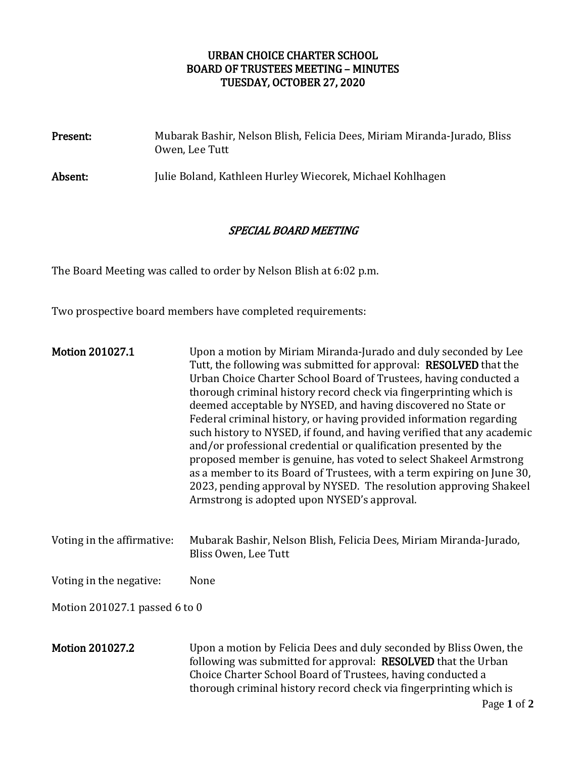# URBAN CHOICE CHARTER SCHOOL BOARD OF TRUSTEES MEETING – MINUTES TUESDAY, OCTOBER 27, 2020

| Present: | Mubarak Bashir, Nelson Blish, Felicia Dees, Miriam Miranda-Jurado, Bliss<br>Owen, Lee Tutt |
|----------|--------------------------------------------------------------------------------------------|
| Absent:  | Julie Boland, Kathleen Hurley Wiecorek, Michael Kohlhagen                                  |

## SPECIAL BOARD MEETING

The Board Meeting was called to order by Nelson Blish at 6:02 p.m.

Two prospective board members have completed requirements:

| <b>Motion 201027.1</b>        | Upon a motion by Miriam Miranda-Jurado and duly seconded by Lee<br>Tutt, the following was submitted for approval: RESOLVED that the<br>Urban Choice Charter School Board of Trustees, having conducted a<br>thorough criminal history record check via fingerprinting which is<br>deemed acceptable by NYSED, and having discovered no State or<br>Federal criminal history, or having provided information regarding<br>such history to NYSED, if found, and having verified that any academic<br>and/or professional credential or qualification presented by the<br>proposed member is genuine, has voted to select Shakeel Armstrong<br>as a member to its Board of Trustees, with a term expiring on June 30,<br>2023, pending approval by NYSED. The resolution approving Shakeel<br>Armstrong is adopted upon NYSED's approval. |  |
|-------------------------------|-----------------------------------------------------------------------------------------------------------------------------------------------------------------------------------------------------------------------------------------------------------------------------------------------------------------------------------------------------------------------------------------------------------------------------------------------------------------------------------------------------------------------------------------------------------------------------------------------------------------------------------------------------------------------------------------------------------------------------------------------------------------------------------------------------------------------------------------|--|
| Voting in the affirmative:    | Mubarak Bashir, Nelson Blish, Felicia Dees, Miriam Miranda-Jurado,<br>Bliss Owen, Lee Tutt                                                                                                                                                                                                                                                                                                                                                                                                                                                                                                                                                                                                                                                                                                                                              |  |
| Voting in the negative:       | None                                                                                                                                                                                                                                                                                                                                                                                                                                                                                                                                                                                                                                                                                                                                                                                                                                    |  |
| Motion 201027.1 passed 6 to 0 |                                                                                                                                                                                                                                                                                                                                                                                                                                                                                                                                                                                                                                                                                                                                                                                                                                         |  |
| <b>Motion 201027.2</b>        | Upon a motion by Felicia Dees and duly seconded by Bliss Owen, the<br>following was submitted for approval: RESOLVED that the Urban<br>Choice Charter School Board of Trustees, having conducted a<br>thorough criminal history record check via fingerprinting which is<br>Page 1 of 2                                                                                                                                                                                                                                                                                                                                                                                                                                                                                                                                                 |  |